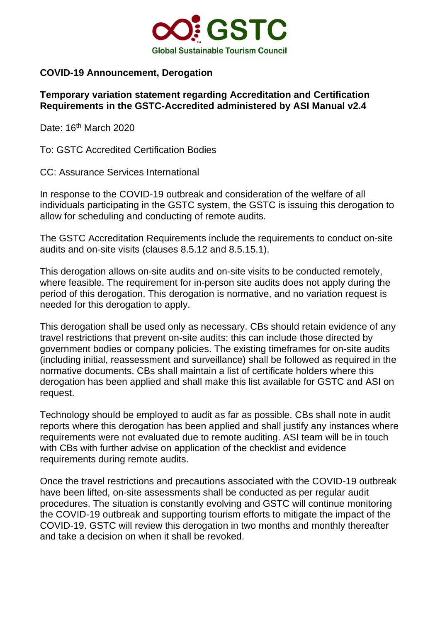

## **COVID-19 Announcement, Derogation**

## **Temporary variation statement regarding Accreditation and Certification Requirements in the GSTC-Accredited administered by ASI Manual v2.4**

Date: 16<sup>th</sup> March 2020

To: GSTC Accredited Certification Bodies

CC: Assurance Services International

In response to the COVID-19 outbreak and consideration of the welfare of all individuals participating in the GSTC system, the GSTC is issuing this derogation to allow for scheduling and conducting of remote audits.

The GSTC Accreditation Requirements include the requirements to conduct on-site audits and on-site visits (clauses 8.5.12 and 8.5.15.1).

This derogation allows on-site audits and on-site visits to be conducted remotely, where feasible. The requirement for in-person site audits does not apply during the period of this derogation. This derogation is normative, and no variation request is needed for this derogation to apply.

This derogation shall be used only as necessary. CBs should retain evidence of any travel restrictions that prevent on-site audits; this can include those directed by government bodies or company policies. The existing timeframes for on-site audits (including initial, reassessment and surveillance) shall be followed as required in the normative documents. CBs shall maintain a list of certificate holders where this derogation has been applied and shall make this list available for GSTC and ASI on request.

Technology should be employed to audit as far as possible. CBs shall note in audit reports where this derogation has been applied and shall justify any instances where requirements were not evaluated due to remote auditing. ASI team will be in touch with CBs with further advise on application of the checklist and evidence requirements during remote audits.

Once the travel restrictions and precautions associated with the COVID-19 outbreak have been lifted, on-site assessments shall be conducted as per regular audit procedures. The situation is constantly evolving and GSTC will continue monitoring the COVID-19 outbreak and supporting tourism efforts to mitigate the impact of the COVID-19. GSTC will review this derogation in two months and monthly thereafter and take a decision on when it shall be revoked.